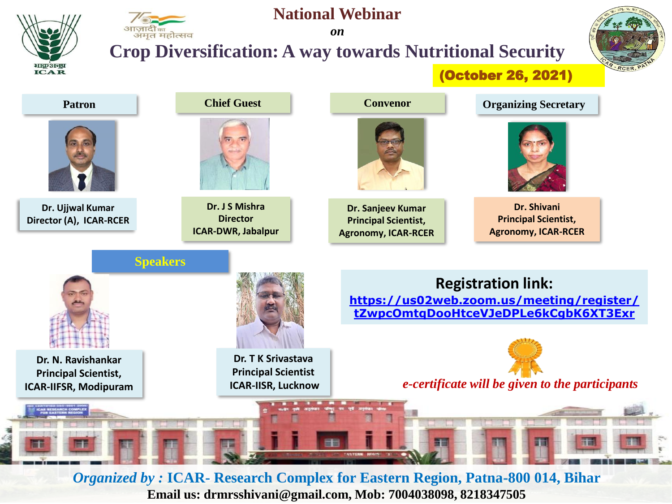

## *on* **Crop Diversification: A way towards Nutritional Security**

**National Webinar**



(October 26, 2021)



*Organized by :* **ICAR- Research Complex for Eastern Region, Patna-800 014, Bihar Email us: drmrsshivani@gmail.com, Mob: 7004038098, 8218347505**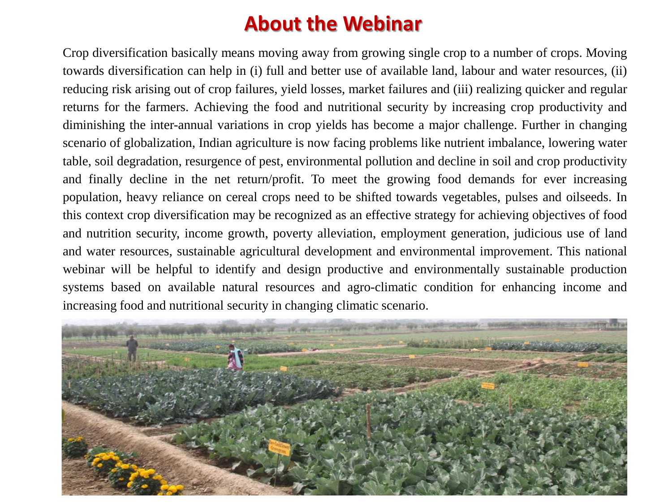## **About the Webinar**

Crop diversification basically means moving away from growing single crop to a number of crops. Moving towards diversification can help in (i) full and better use of available land, labour and water resources, (ii) reducing risk arising out of crop failures, yield losses, market failures and (iii) realizing quicker and regular returns for the farmers. Achieving the food and nutritional security by increasing crop productivity and diminishing the inter-annual variations in crop yields has become a major challenge. Further in changing scenario of globalization, Indian agriculture is now facing problems like nutrient imbalance, lowering water table, soil degradation, resurgence of pest, environmental pollution and decline in soil and crop productivity and finally decline in the net return/profit. To meet the growing food demands for ever increasing population, heavy reliance on cereal crops need to be shifted towards vegetables, pulses and oilseeds. In this context crop diversification may be recognized as an effective strategy for achieving objectives of food and nutrition security, income growth, poverty alleviation, employment generation, judicious use of land and water resources, sustainable agricultural development and environmental improvement. This national webinar will be helpful to identify and design productive and environmentally sustainable production systems based on available natural resources and agro-climatic condition for enhancing income and increasing food and nutritional security in changing climatic scenario.